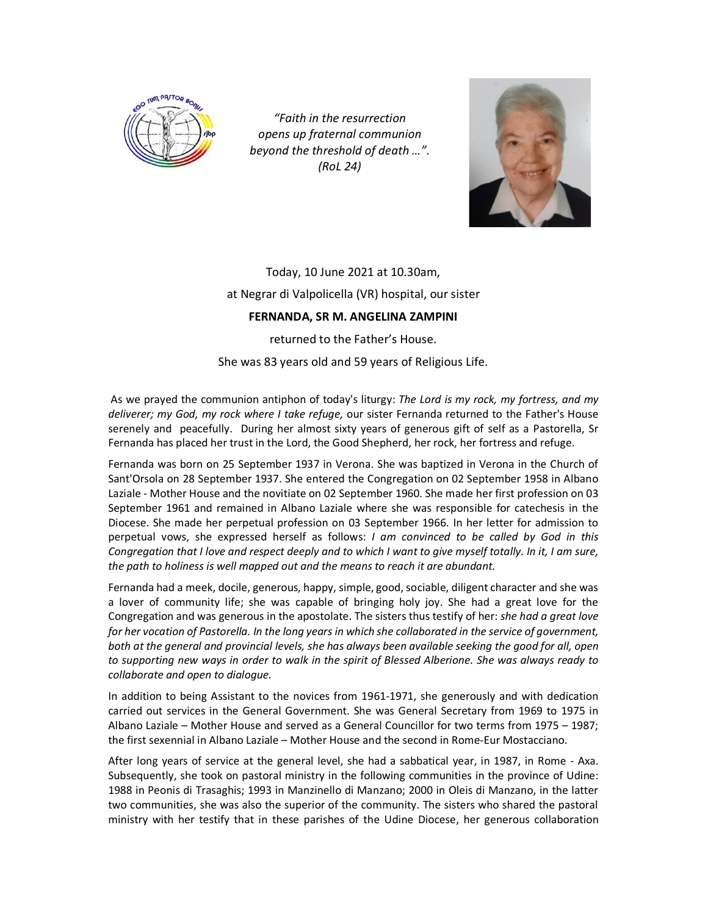

*"Faith in the resurrection opens up fraternal communion beyond the threshold of death …". (RoL 24)*



## Today, 10 June 2021 at 10.30am, at Negrar di Valpolicella (VR) hospital, our sister **FERNANDA, SR M. ANGELINA ZAMPINI**

returned to the Father's House.

She was 83 years old and 59 years of Religious Life.

As we prayed the communion antiphon of today's liturgy: *The Lord is my rock, my fortress, and my deliverer; my God, my rock where I take refuge,* our sister Fernanda returned to the Father's House serenely and peacefully. During her almost sixty years of generous gift of self as a Pastorella, Sr Fernanda has placed her trust in the Lord, the Good Shepherd, her rock, her fortress and refuge.

Fernanda was born on 25 September 1937 in Verona. She was baptized in Verona in the Church of Sant'Orsola on 28 September 1937. She entered the Congregation on 02 September 1958 in Albano Laziale - Mother House and the novitiate on 02 September 1960. She made her first profession on 03 September 1961 and remained in Albano Laziale where she was responsible for catechesis in the Diocese. She made her perpetual profession on 03 September 1966. In her letter for admission to perpetual vows, she expressed herself as follows: *I am convinced to be called by God in this Congregation that I love and respect deeply and to which I want to give myself totally. In it, I am sure, the path to holiness is well mapped out and the means to reach it are abundant.*

Fernanda had a meek, docile, generous, happy, simple, good, sociable, diligent character and she was a lover of community life; she was capable of bringing holy joy. She had a great love for the Congregation and was generous in the apostolate. The sisters thus testify of her: *she had a great love for her vocation of Pastorella. In the long years in which she collaborated in the service of government, both at the general and provincial levels, she has always been available seeking the good for all, open to supporting new ways in order to walk in the spirit of Blessed Alberione. She was always ready to collaborate and open to dialogue.*

In addition to being Assistant to the novices from 1961-1971, she generously and with dedication carried out services in the General Government. She was General Secretary from 1969 to 1975 in Albano Laziale – Mother House and served as a General Councillor for two terms from 1975 – 1987; the first sexennial in Albano Laziale – Mother House and the second in Rome-Eur Mostacciano.

After long years of service at the general level, she had a sabbatical year, in 1987, in Rome - Axa. Subsequently, she took on pastoral ministry in the following communities in the province of Udine: 1988 in Peonis di Trasaghis; 1993 in Manzinello di Manzano; 2000 in Oleis di Manzano, in the latter two communities, she was also the superior of the community. The sisters who shared the pastoral ministry with her testify that in these parishes of the Udine Diocese, her generous collaboration